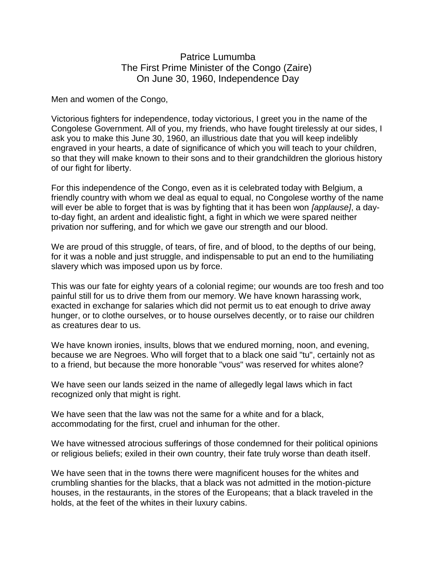## Patrice Lumumba The First Prime Minister of the Congo (Zaire) On June 30, 1960, Independence Day

Men and women of the Congo,

Victorious fighters for independence, today victorious, I greet you in the name of the Congolese Government. All of you, my friends, who have fought tirelessly at our sides, I ask you to make this June 30, 1960, an illustrious date that you will keep indelibly engraved in your hearts, a date of significance of which you will teach to your children, so that they will make known to their sons and to their grandchildren the glorious history of our fight for liberty.

For this independence of the Congo, even as it is celebrated today with Belgium, a friendly country with whom we deal as equal to equal, no Congolese worthy of the name will ever be able to forget that is was by fighting that it has been won *[applause]*, a dayto-day fight, an ardent and idealistic fight, a fight in which we were spared neither privation nor suffering, and for which we gave our strength and our blood.

We are proud of this struggle, of tears, of fire, and of blood, to the depths of our being, for it was a noble and just struggle, and indispensable to put an end to the humiliating slavery which was imposed upon us by force.

This was our fate for eighty years of a colonial regime; our wounds are too fresh and too painful still for us to drive them from our memory. We have known harassing work, exacted in exchange for salaries which did not permit us to eat enough to drive away hunger, or to clothe ourselves, or to house ourselves decently, or to raise our children as creatures dear to us.

We have known ironies, insults, blows that we endured morning, noon, and evening, because we are Negroes. Who will forget that to a black one said "tu", certainly not as to a friend, but because the more honorable "vous" was reserved for whites alone?

We have seen our lands seized in the name of allegedly legal laws which in fact recognized only that might is right.

We have seen that the law was not the same for a white and for a black, accommodating for the first, cruel and inhuman for the other.

We have witnessed atrocious sufferings of those condemned for their political opinions or religious beliefs; exiled in their own country, their fate truly worse than death itself.

We have seen that in the towns there were magnificent houses for the whites and crumbling shanties for the blacks, that a black was not admitted in the motion-picture houses, in the restaurants, in the stores of the Europeans; that a black traveled in the holds, at the feet of the whites in their luxury cabins.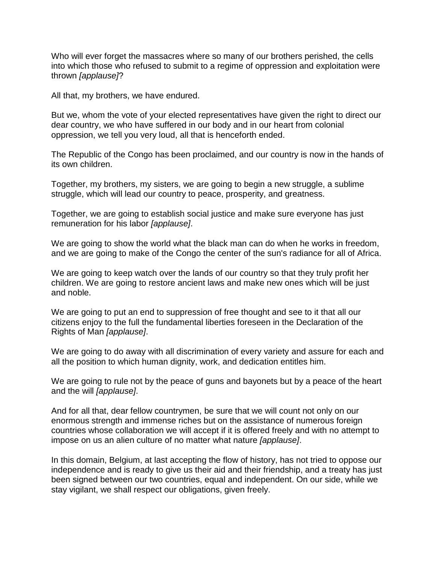Who will ever forget the massacres where so many of our brothers perished, the cells into which those who refused to submit to a regime of oppression and exploitation were thrown *[applause]*?

All that, my brothers, we have endured.

But we, whom the vote of your elected representatives have given the right to direct our dear country, we who have suffered in our body and in our heart from colonial oppression, we tell you very loud, all that is henceforth ended.

The Republic of the Congo has been proclaimed, and our country is now in the hands of its own children.

Together, my brothers, my sisters, we are going to begin a new struggle, a sublime struggle, which will lead our country to peace, prosperity, and greatness.

Together, we are going to establish social justice and make sure everyone has just remuneration for his labor *[applause]*.

We are going to show the world what the black man can do when he works in freedom, and we are going to make of the Congo the center of the sun's radiance for all of Africa.

We are going to keep watch over the lands of our country so that they truly profit her children. We are going to restore ancient laws and make new ones which will be just and noble.

We are going to put an end to suppression of free thought and see to it that all our citizens enjoy to the full the fundamental liberties foreseen in the Declaration of the Rights of Man *[applause]*.

We are going to do away with all discrimination of every variety and assure for each and all the position to which human dignity, work, and dedication entitles him.

We are going to rule not by the peace of guns and bayonets but by a peace of the heart and the will *[applause]*.

And for all that, dear fellow countrymen, be sure that we will count not only on our enormous strength and immense riches but on the assistance of numerous foreign countries whose collaboration we will accept if it is offered freely and with no attempt to impose on us an alien culture of no matter what nature *[applause]*.

In this domain, Belgium, at last accepting the flow of history, has not tried to oppose our independence and is ready to give us their aid and their friendship, and a treaty has just been signed between our two countries, equal and independent. On our side, while we stay vigilant, we shall respect our obligations, given freely.